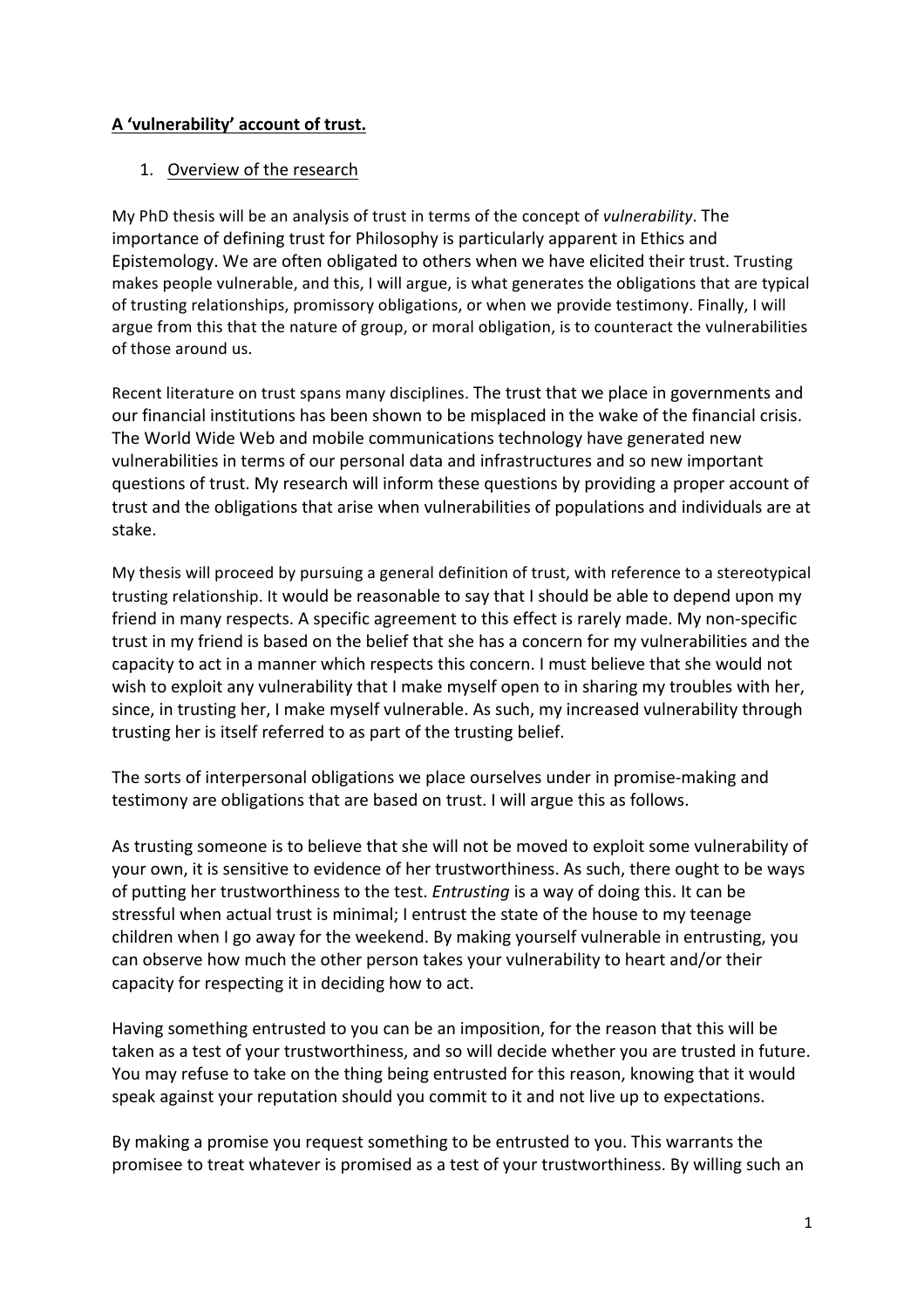## **A 'vulnerability' account of trust.**

## 1. Overview of the research

My PhD thesis will be an analysis of trust in terms of the concept of *vulnerability*. The importance of defining trust for Philosophy is particularly apparent in Ethics and Epistemology. We are often obligated to others when we have elicited their trust. Trusting makes people vulnerable, and this, I will argue, is what generates the obligations that are typical of trusting relationships, promissory obligations, or when we provide testimony. Finally, I will argue from this that the nature of group, or moral obligation, is to counteract the vulnerabilities of those around us.

Recent literature on trust spans many disciplines. The trust that we place in governments and our financial institutions has been shown to be misplaced in the wake of the financial crisis. The World Wide Web and mobile communications technology have generated new vulnerabilities in terms of our personal data and infrastructures and so new important questions of trust. My research will inform these questions by providing a proper account of trust and the obligations that arise when vulnerabilities of populations and individuals are at stake.

My thesis will proceed by pursuing a general definition of trust, with reference to a stereotypical trusting relationship. It would be reasonable to say that I should be able to depend upon my friend in many respects. A specific agreement to this effect is rarely made. My non-specific trust in my friend is based on the belief that she has a concern for my vulnerabilities and the capacity to act in a manner which respects this concern. I must believe that she would not wish to exploit any vulnerability that I make myself open to in sharing my troubles with her, since, in trusting her. I make myself vulnerable. As such, my increased vulnerability through trusting her is itself referred to as part of the trusting belief.

The sorts of interpersonal obligations we place ourselves under in promise-making and testimony are obligations that are based on trust. I will argue this as follows.

As trusting someone is to believe that she will not be moved to exploit some vulnerability of your own, it is sensitive to evidence of her trustworthiness. As such, there ought to be ways of putting her trustworthiness to the test. *Entrusting* is a way of doing this. It can be stressful when actual trust is minimal; I entrust the state of the house to my teenage children when I go away for the weekend. By making yourself vulnerable in entrusting, you can observe how much the other person takes your vulnerability to heart and/or their capacity for respecting it in deciding how to act.

Having something entrusted to you can be an imposition, for the reason that this will be taken as a test of your trustworthiness, and so will decide whether you are trusted in future. You may refuse to take on the thing being entrusted for this reason, knowing that it would speak against your reputation should you commit to it and not live up to expectations.

By making a promise you request something to be entrusted to you. This warrants the promisee to treat whatever is promised as a test of your trustworthiness. By willing such an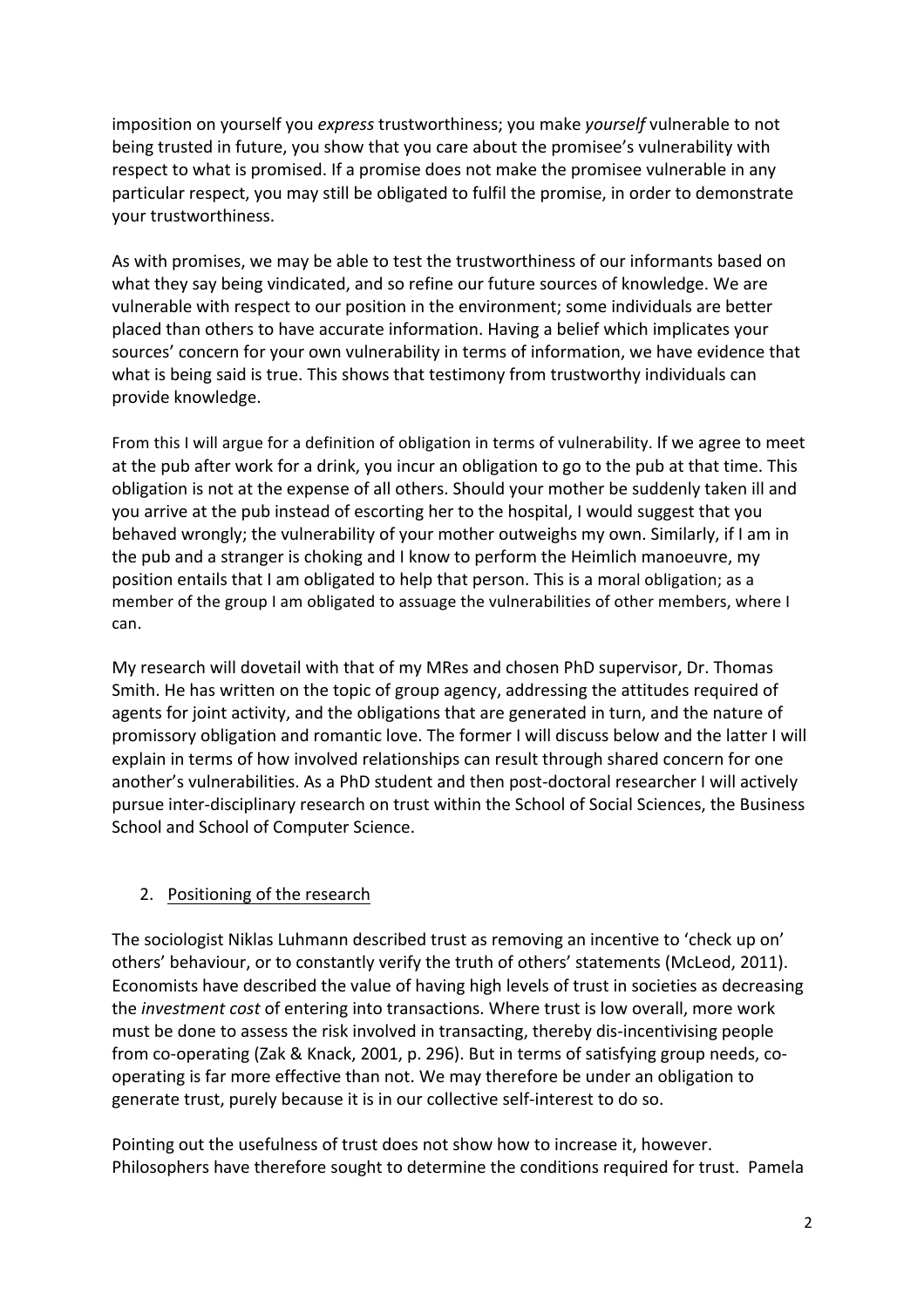imposition on yourself you *express* trustworthiness; you make *yourself* vulnerable to not being trusted in future, you show that you care about the promisee's vulnerability with respect to what is promised. If a promise does not make the promisee vulnerable in any particular respect, you may still be obligated to fulfil the promise, in order to demonstrate your trustworthiness.

As with promises, we may be able to test the trustworthiness of our informants based on what they say being vindicated, and so refine our future sources of knowledge. We are vulnerable with respect to our position in the environment; some individuals are better placed than others to have accurate information. Having a belief which implicates your sources' concern for your own vulnerability in terms of information, we have evidence that what is being said is true. This shows that testimony from trustworthy individuals can provide knowledge.

From this I will argue for a definition of obligation in terms of vulnerability. If we agree to meet at the pub after work for a drink, you incur an obligation to go to the pub at that time. This obligation is not at the expense of all others. Should your mother be suddenly taken ill and you arrive at the pub instead of escorting her to the hospital, I would suggest that you behaved wrongly; the vulnerability of your mother outweighs my own. Similarly, if I am in the pub and a stranger is choking and I know to perform the Heimlich manoeuvre, my position entails that I am obligated to help that person. This is a moral obligation; as a member of the group I am obligated to assuage the vulnerabilities of other members, where I can.

My research will dovetail with that of my MRes and chosen PhD supervisor, Dr. Thomas Smith. He has written on the topic of group agency, addressing the attitudes required of agents for joint activity, and the obligations that are generated in turn, and the nature of promissory obligation and romantic love. The former I will discuss below and the latter I will explain in terms of how involved relationships can result through shared concern for one another's vulnerabilities. As a PhD student and then post-doctoral researcher I will actively pursue inter-disciplinary research on trust within the School of Social Sciences, the Business School and School of Computer Science.

## 2. Positioning of the research

The sociologist Niklas Luhmann described trust as removing an incentive to 'check up on' others' behaviour, or to constantly verify the truth of others' statements (McLeod, 2011). Economists have described the value of having high levels of trust in societies as decreasing the *investment cost* of entering into transactions. Where trust is low overall, more work must be done to assess the risk involved in transacting, thereby dis-incentivising people from co-operating (Zak & Knack, 2001, p. 296). But in terms of satisfying group needs, cooperating is far more effective than not. We may therefore be under an obligation to generate trust, purely because it is in our collective self-interest to do so.

Pointing out the usefulness of trust does not show how to increase it, however. Philosophers have therefore sought to determine the conditions required for trust. Pamela